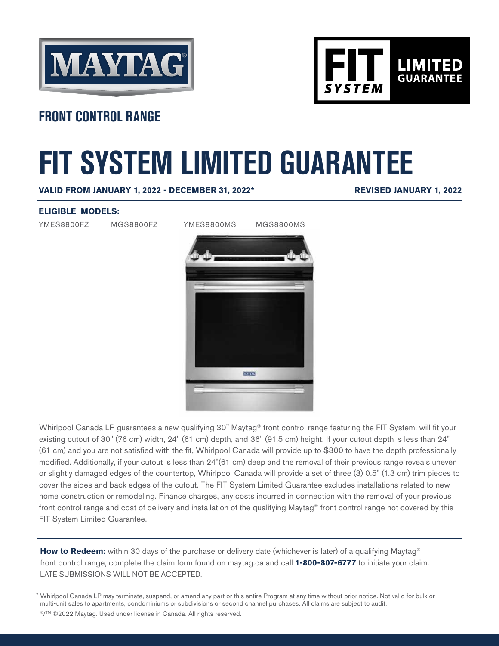



## **FRONT CONTROL RANGE**

# **FIT SYSTEM LIMITED GUARANTEE**

**VALID FROM JANUARY 1, 2022 - DECEMBER 31, 2022\***

**REVISED JANUARY 1, 2022**

#### **ELIGIBLE MODELS:**

YMES8800FZ MGS8800FZ YMES8800MS MGS8800MS



Whirlpool Canada LP guarantees a new qualifying 30" Maytag® front control range featuring the FIT System, will fit your existing cutout of 30" (76 cm) width, 24" (61 cm) depth, and 36" (91.5 cm) height. If your cutout depth is less than 24" (61 cm) and you are not satisfied with the fit, Whirlpool Canada will provide up to \$300 to have the depth professionally modified. Additionally, if your cutout is less than 24"(61 cm) deep and the removal of their previous range reveals uneven or slightly damaged edges of the countertop, Whirlpool Canada will provide a set of three (3) 0.5" (1.3 cm) trim pieces to cover the sides and back edges of the cutout. The FIT System Limited Guarantee excludes installations related to new home construction or remodeling. Finance charges, any costs incurred in connection with the removal of your previous front control range and cost of delivery and installation of the qualifying Maytag® front control range not covered by this FIT System Limited Guarantee.

How to Redeem: within 30 days of the purchase or delivery date (whichever is later) of a qualifying Maytag<sup>®</sup> front control range, complete the claim form found on maytag.ca and call **1-800-807-6777** to initiate your claim. LATE SUBMISSIONS WILL NOT BE ACCEPTED.

Whirlpool Canada LP may terminate, suspend, or amend any part or this entire Program at any time without prior notice. Not valid for bulk or \* multi-unit sales to apartments, condominiums or subdivisions or second channel purchases. All claims are subject to audit. ®/™ ©2022 Maytag. Used under license in Canada. All rights reserved.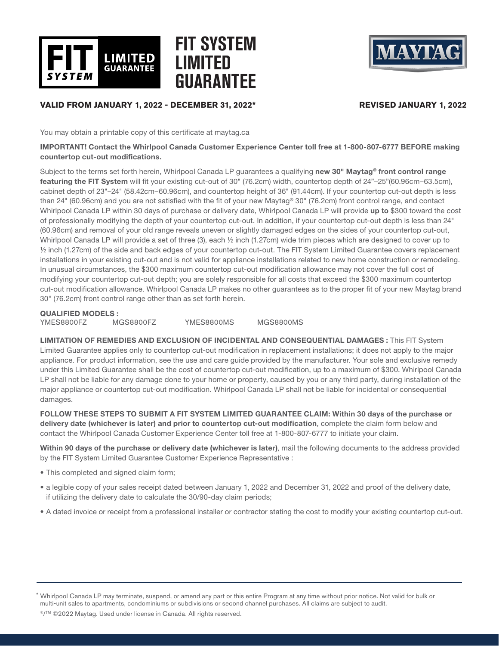

# **FIT SYSTEM LIMITED GUARANTEE**



### **VALID FROM JANUARY 1, 2022 - DECEMBER 31, 2022\* REVISED JANUARY 1, 2022**

You may obtain a printable copy of this certificate at maytag.ca

#### IMPORTANT! Contact the Whirlpool Canada Customer Experience Center toll free at 1-800-807-6777 BEFORE making countertop cut-out modifications.

Subject to the terms set forth herein, Whirlpool Canada LP guarantees a qualifying new 30" Maytag® front control range featuring the FIT System will fit your existing cut-out of 30" (76.2cm) width, countertop depth of 24"–25"(60.96cm–63.5cm), cabinet depth of 23"–24" (58.42cm–60.96cm), and countertop height of 36" (91.44cm). If your countertop cut-out depth is less than 24" (60.96cm) and you are not satisfied with the fit of your new Maytag® 30" (76.2cm) front control range, and contact Whirlpool Canada LP within 30 days of purchase or delivery date, Whirlpool Canada LP will provide up to \$300 toward the cost of professionally modifying the depth of your countertop cut-out. In addition, if your countertop cut-out depth is less than 24" (60.96cm) and removal of your old range reveals uneven or slightly damaged edges on the sides of your countertop cut-out, Whirlpool Canada LP will provide a set of three (3), each 1/2 inch (1.27cm) wide trim pieces which are designed to cover up to ½ inch (1.27cm) of the side and back edges of your countertop cut-out. The FIT System Limited Guarantee covers replacement installations in your existing cut-out and is not valid for appliance installations related to new home construction or remodeling. In unusual circumstances, the \$300 maximum countertop cut-out modification allowance may not cover the full cost of modifying your countertop cut-out depth; you are solely responsible for all costs that exceed the \$300 maximum countertop cut-out modification allowance. Whirlpool Canada LP makes no other guarantees as to the proper fit of your new Maytag brand 30" (76.2cm) front control range other than as set forth herein.

QUALIFIED MODELS :

YMES8800FZ MGS8800FZ YMES8800MS MGS8800MS

LIMITATION OF REMEDIES AND EXCLUSION OF INCIDENTAL AND CONSEQUENTIAL DAMAGES : This FIT System Limited Guarantee applies only to countertop cut-out modification in replacement installations; it does not apply to the major appliance. For product information, see the use and care guide provided by the manufacturer. Your sole and exclusive remedy under this Limited Guarantee shall be the cost of countertop cut-out modification, up to a maximum of \$300. Whirlpool Canada LP shall not be liable for any damage done to your home or property, caused by you or any third party, during installation of the major appliance or countertop cut-out modification. Whirlpool Canada LP shall not be liable for incidental or consequential damages.

FOLLOW THESE STEPS TO SUBMIT A FIT SYSTEM LIMITED GUARANTEE CLAIM: Within 30 days of the purchase or delivery date (whichever is later) and prior to countertop cut-out modification, complete the claim form below and contact the Whirlpool Canada Customer Experience Center toll free at 1-800-807-6777 to initiate your claim.

Within 90 days of the purchase or delivery date (whichever is later), mail the following documents to the address provided by the FIT System Limited Guarantee Customer Experience Representative :

- This completed and signed claim form;
- a legible copy of your sales receipt dated between January 1, 2022 and December 31, 2022 and proof of the delivery date, if utilizing the delivery date to calculate the 30/90-day claim periods;
- A dated invoice or receipt from a professional installer or contractor stating the cost to modify your existing countertop cut-out.

Whirlpool Canada LP may terminate, suspend, or amend any part or this entire Program at any time without prior notice. Not valid for bulk or \* multi-unit sales to apartments, condominiums or subdivisions or second channel purchases. All claims are subject to audit.